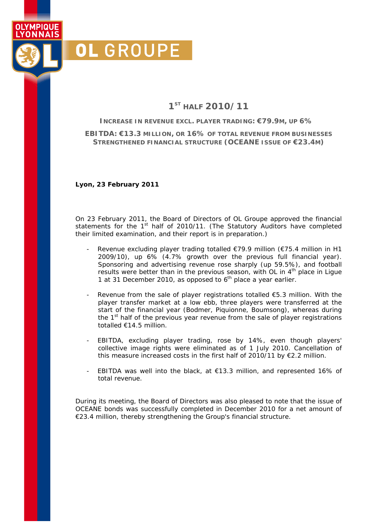# **1ST HALF 2010/11**

**INCREASE IN REVENUE EXCL. PLAYER TRADING: €79.9M, UP 6%** 

**EBITDA: €13.3 MILLION, OR 16% OF TOTAL REVENUE FROM BUSINESSES STRENGTHENED FINANCIAL STRUCTURE (OCEANE ISSUE OF €23.4M)** 

**Lyon, 23 February 2011** 

**OL GROUPE** 

OI YMPIOUF YONNAIS

> On 23 February 2011, the Board of Directors of OL Groupe approved the financial statements for the 1<sup>st</sup> half of 2010/11. (The Statutory Auditors have completed their limited examination, and their report is in preparation.)

- Revenue excluding player trading totalled €79.9 million (€75.4 million in H1 2009/10), up 6% (4.7% growth over the previous full financial year). Sponsoring and advertising revenue rose sharply (up 59.5%), and football results were better than in the previous season, with OL in 4<sup>th</sup> place in Lique 1 at 31 December 2010, as opposed to  $6<sup>th</sup>$  place a year earlier.
- Revenue from the sale of player registrations totalled  $\epsilon$ 5.3 million. With the player transfer market at a low ebb, three players were transferred at the start of the financial year (Bodmer, Piquionne, Boumsong), whereas during the  $1<sup>st</sup>$  half of the previous year revenue from the sale of player registrations totalled €14.5 million.
- EBITDA, excluding player trading, rose by 14%, even though players' collective image rights were eliminated as of 1 July 2010. Cancellation of this measure increased costs in the first half of 2010/11 by €2.2 million.
- EBITDA was well into the black, at  $€13.3$  million, and represented 16% of total revenue.

During its meeting, the Board of Directors was also pleased to note that the issue of OCEANE bonds was successfully completed in December 2010 for a net amount of €23.4 million, thereby strengthening the Group's financial structure.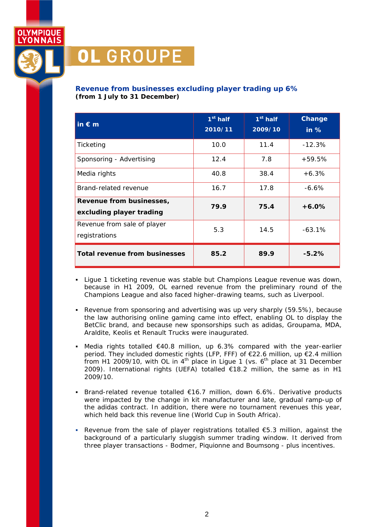

## **Revenue from businesses excluding player trading up 6%**  *(from 1 July to 31 December)*

| in $\epsilon$ m                                      | $1st$ half<br>2010/11 | $1st$ half<br>2009/10 | Change<br>$\overline{\mathsf{in}}$ % |
|------------------------------------------------------|-----------------------|-----------------------|--------------------------------------|
| Ticketing                                            | 10.0                  | 11.4                  | $-12.3%$                             |
| Sponsoring - Advertising                             | 12.4                  | 7.8                   | $+59.5%$                             |
| Media rights                                         | 40.8                  | 38.4                  | $+6.3%$                              |
| Brand-related revenue                                | 16.7                  | 17.8                  | $-6.6%$                              |
| Revenue from businesses,<br>excluding player trading | 79.9                  | 75.4                  | $+6.0\%$                             |
| Revenue from sale of player<br>registrations         | 5.3                   | 14.5                  | $-63.1%$                             |
| Total revenue from businesses                        | 85.2                  | 89.9                  | $-5.2%$                              |

- Lique 1 ticketing revenue was stable but Champions League revenue was down, because in H1 2009, OL earned revenue from the preliminary round of the Champions League and also faced higher-drawing teams, such as Liverpool.
- Revenue from sponsoring and advertising was up very sharply (59.5%), because the law authorising online gaming came into effect, enabling OL to display the BetClic brand, and because new sponsorships such as adidas, Groupama, MDA, Araldite, Keolis et Renault Trucks were inaugurated.
- Media rights totalled €40.8 million, up 6.3% compared with the year-earlier period. They included domestic rights (LFP, FFF) of €22.6 million, up €2.4 million from H1 2009/10, with OL in  $4<sup>th</sup>$  place in Ligue 1 (vs.  $6<sup>th</sup>$  place at 31 December 2009). International rights (UEFA) totalled €18.2 million, the same as in H1 2009/10.
- Brand-related revenue totalled  $€16.7$  million, down  $6.6\%$ . Derivative products were impacted by the change in kit manufacturer and late, gradual ramp-up of the adidas contract. In addition, there were no tournament revenues this year, which held back this revenue line (World Cup in South Africa).
- Revenue from the sale of player registrations totalled  $\epsilon$ 5.3 million, against the background of a particularly sluggish summer trading window. It derived from three player transactions - Bodmer, Piquionne and Boumsong - plus incentives.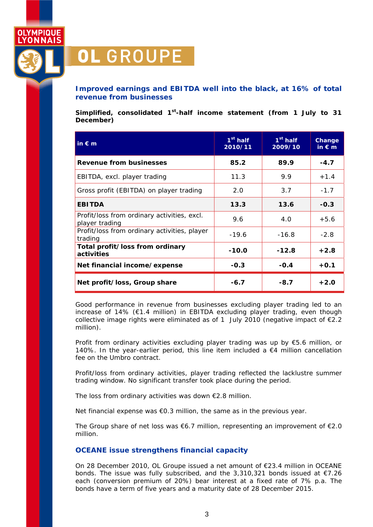

### **Improved earnings and EBITDA well into the black, at 16% of total revenue from businesses**

*Simplified, consolidated 1st-half income statement (from 1 July to 31 December)* 

| $\mathsf{in} \in \mathsf{m}$                                  | $1st$ half<br>2010/11 | $1st$ half<br>2009/10 | Change<br>in $\varepsilon$ m |
|---------------------------------------------------------------|-----------------------|-----------------------|------------------------------|
| <b>Revenue from businesses</b>                                | 85.2                  | 89.9                  | $-4.7$                       |
| EBITDA, excl. player trading                                  | 11.3                  | 9.9                   | $+1.4$                       |
| Gross profit (EBITDA) on player trading                       | 2.O                   | 3.7                   | $-1.7$                       |
| <b>EBITDA</b>                                                 | 13.3                  | 13.6                  | $-0.3$                       |
| Profit/loss from ordinary activities, excl.<br>player trading | 9.6                   | 4.0                   | $+5.6$                       |
| Profit/loss from ordinary activities, player<br>trading       | $-19.6$               | $-16.8$               | $-2.8$                       |
| Total profit/loss from ordinary<br>activities                 | $-10.0$               | $-12.8$               | $+2.8$                       |
| Net financial income/expense                                  | $-0.3$                | $-0.4$                | $+0.1$                       |
| Net profit/loss, Group share                                  | $-6.7$                | $-8.7$                | $+2.0$                       |

Good performance in revenue from businesses excluding player trading led to an increase of 14% (€1.4 million) in EBITDA excluding player trading, even though collective image rights were eliminated as of 1 July 2010 (negative impact of  $\epsilon$ 2.2 million).

Profit from ordinary activities excluding player trading was up by €5.6 million, or 140%. In the year-earlier period, this line item included a  $\epsilon$ 4 million cancellation fee on the Umbro contract.

Profit/loss from ordinary activities, player trading reflected the lacklustre summer trading window. No significant transfer took place during the period.

The loss from ordinary activities was down €2.8 million.

Net financial expense was €0.3 million, the same as in the previous year.

The Group share of net loss was  $\epsilon$ 6.7 million, representing an improvement of  $\epsilon$ 2.0 million.

#### **OCEANE issue strengthens financial capacity**

On 28 December 2010, OL Groupe issued a net amount of €23.4 million in OCEANE bonds. The issue was fully subscribed, and the 3,310,321 bonds issued at €7.26 each (conversion premium of 20%) bear interest at a fixed rate of 7% p.a. The bonds have a term of five years and a maturity date of 28 December 2015.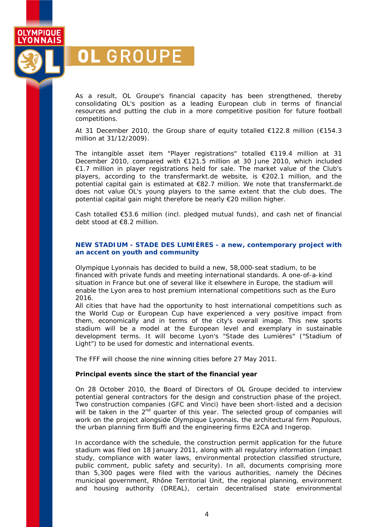YONNAIS

**OLYMPIQUE** 

# **OL GROUPE**

As a result, OL Groupe's financial capacity has been strengthened, thereby consolidating OL's position as a leading European club in terms of financial resources and putting the club in a more competitive position for future football competitions.

At 31 December 2010, the Group share of equity totalled €122.8 million (€154.3 million at 31/12/2009).

The intangible asset item "Player registrations" totalled €119.4 million at 31 December 2010, compared with €121.5 million at 30 June 2010, which included €1.7 million in player registrations held for sale. The market value of the Club's players, according to the transfermarkt.de website, is €202.1 million, and the potential capital gain is estimated at €82.7 million. We note that transfermarkt.de does not value OL's young players to the same extent that the club does. The potential capital gain might therefore be nearly €20 million higher.

Cash totalled €53.6 million (incl. pledged mutual funds), and cash net of financial debt stood at €8.2 million.

#### **NEW STADIUM - STADE DES LUMIÈRES - a new, contemporary project with an accent on youth and community**

Olympique Lyonnais has decided to build a new, 58,000-seat stadium, to be financed with private funds and meeting international standards. A one-of-a-kind situation in France but one of several like it elsewhere in Europe, the stadium will enable the Lyon area to host premium international competitions such as the Euro 2016.

All cities that have had the opportunity to host international competitions such as the World Cup or European Cup have experienced a very positive impact from them, economically and in terms of the city's overall image. This new sports stadium will be a model at the European level and exemplary in sustainable development terms. It will become Lyon's "Stade des Lumières" ("Stadium of Light") to be used for domestic and international events.

The FFF will choose the nine winning cities before 27 May 2011.

#### **Principal events since the start of the financial year**

On 28 October 2010, the Board of Directors of OL Groupe decided to interview potential general contractors for the design and construction phase of the project. Two construction companies (GFC and Vinci) have been short-listed and a decision will be taken in the  $2^{nd}$  quarter of this year. The selected group of companies will work on the project alongside Olympique Lyonnais, the architectural firm Populous, the urban planning firm Buffi and the engineering firms E2CA and Ingerop.

In accordance with the schedule, the construction permit application for the future stadium was filed on 18 January 2011, along with all regulatory information (impact study, compliance with water laws, environmental protection classified structure, public comment, public safety and security). In all, documents comprising more than 5,300 pages were filed with the various authorities, namely the Décines municipal government, Rhône Territorial Unit, the regional planning, environment and housing authority (DREAL), certain decentralised state environmental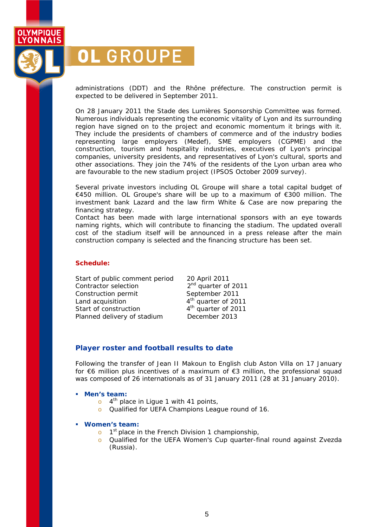

administrations (DDT) and the Rhône préfecture. The construction permit is expected to be delivered in September 2011.

On 28 January 2011 the Stade des Lumières Sponsorship Committee was formed. Numerous individuals representing the economic vitality of Lyon and its surrounding region have signed on to the project and economic momentum it brings with it. They include the presidents of chambers of commerce and of the industry bodies representing large employers (Medef), SME employers (CGPME) and the construction, tourism and hospitality industries, executives of Lyon's principal companies, university presidents, and representatives of Lyon's cultural, sports and other associations. They join the 74% of the residents of the Lyon urban area who are favourable to the new stadium project (IPSOS October 2009 survey).

Several private investors including OL Groupe will share a total capital budget of €450 million. OL Groupe's share will be up to a maximum of €300 million. The investment bank Lazard and the law firm White & Case are now preparing the financing strategy.

Contact has been made with large international sponsors with an eye towards naming rights, which will contribute to financing the stadium. The updated overall cost of the stadium itself will be announced in a press release after the main construction company is selected and the financing structure has been set.

#### **Schedule:**

Start of public comment period 20 April 2011 Contractor selection  $2<sup>nd</sup>$  quarter of 2011 Construction permit September 2011 Land acquisition  $4<sup>th</sup>$  quarter of 2011 Start of construction and the quarter of 2011 Planned delivery of stadium December 2013

## **Player roster and football results to date**

Following the transfer of Jean II Makoun to English club Aston Villa on 17 January for €6 million plus incentives of a maximum of €3 million, the professional squad was composed of 26 internationals as of 31 January 2011 (28 at 31 January 2010).

### *Men's team:*

- $\circ$  4<sup>th</sup> place in Ligue 1 with 41 points,
- o Qualified for UEFA Champions League round of 16.

#### *Women's team:*

- $\circ$  1<sup>st</sup> place in the French Division 1 championship,
- o Qualified for the UEFA Women's Cup quarter-final round against Zvezda (Russia).